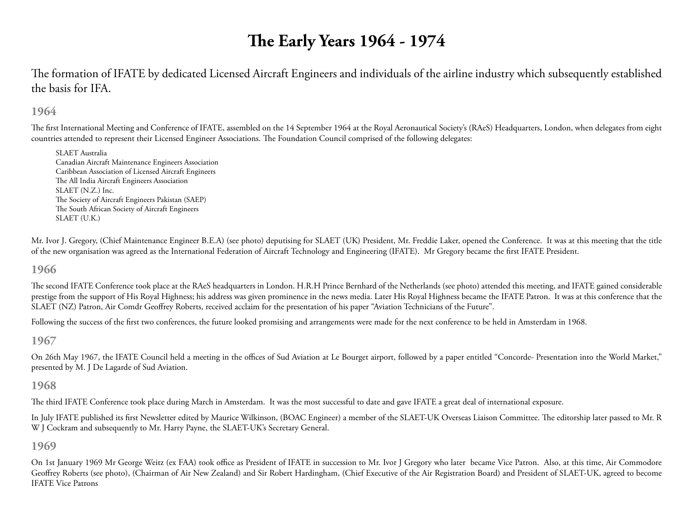# **The Early Years 1964 - 1974**

The formation of IFATE by dedicated Licensed Aircraft Engineers and individuals of the airline industry which subsequently established the basis for IFA.

# **1964**

The first International Meeting and Conference of IFATE, assembled on the 14 September 1964 at the Royal Aeronautical Society's (RAeS) Headquarters, London, when delegates from eight countries attended to represent their Licensed Engineer Associations. The Foundation Council comprised of the following delegates:

SLAET Australia Canadian Aircraft Maintenance Engineers Association Caribbean Association of Licensed Aircraft Engineers The All India Aircraft Engineers Association SLAET (N.Z.) Inc. The Society of Aircraft Engineers Pakistan (SAEP) The South African Society of Aircraft Engineers SLAET (U.K.)

Mr. Ivor J. Gregory, (Chief Maintenance Engineer B.E.A) (see photo) deputising for SLAET (UK) President, Mr. Freddie Laker, opened the Conference. It was at this meeting that the title of the new organisation was agreed as the International Federation of Aircraft Technology and Engineering (IFATE). Mr Gregory became the first IFATE President.

**1966**

The second IFATE Conference took place at the RAeS headquarters in London. H.R.H Prince Bernhard of the Netherlands (see photo) attended this meeting, and IFATE gained considerable prestige from the support of His Royal Highness; his address was given prominence in the news media. Later His Royal Highness became the IFATE Patron. It was at this conference that the SLAET (NZ) Patron, Air Comdr Geoffrey Roberts, received acclaim for the presentation of his paper "Aviation Technicians of the Future".

Following the success of the first two conferences, the future looked promising and arrangements were made for the next conference to be held in Amsterdam in 1968.

**1967**

On 26th May 1967, the IFATE Council held a meeting in the offices of Sud Aviation at Le Bourget airport, followed by a paper entitled "Concorde- Presentation into the World Market," presented by M. J De Lagarde of Sud Aviation.

# **1968**

The third IFATE Conference took place during March in Amsterdam. It was the most successful to date and gave IFATE a great deal of international exposure.

In July IFATE published its first Newsletter edited by Maurice Wilkinson, (BOAC Engineer) a member of the SLAET-UK Overseas Liaison Committee. The editorship later passed to Mr. R W J Cockram and subsequently to Mr. Harry Payne, the SLAET-UK's Secretary General.

## **1969**

On 1st January 1969 Mr George Weitz (ex FAA) took office as President of IFATE in succession to Mr. Ivor J Gregory who later became Vice Patron. Also, at this time, Air Commodore Geoffrey Roberts (see photo), (Chairman of Air New Zealand) and Sir Robert Hardingham, (Chief Executive of the Air Registration Board) and President of SLAET-UK, agreed to become IFATE Vice Patrons